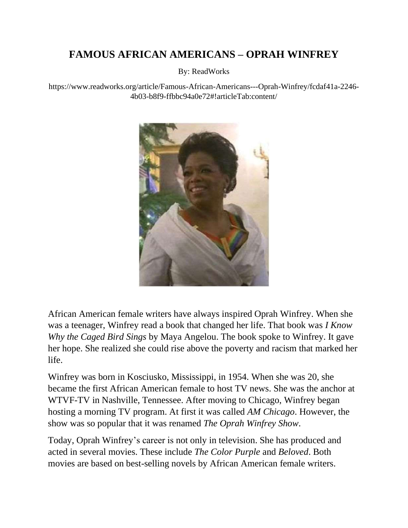# **FAMOUS AFRICAN AMERICANS – OPRAH WINFREY**

By: ReadWorks

https://www.readworks.org/article/Famous-African-Americans---Oprah-Winfrey/fcdaf41a-2246- 4b03-b8f9-ffbbc94a0e72#!articleTab:content/



African American female writers have always inspired Oprah Winfrey. When she was a teenager, Winfrey read a book that changed her life. That book was *I Know Why the Caged Bird Sings* by Maya Angelou. The book spoke to Winfrey. It gave her hope. She realized she could rise above the poverty and racism that marked her life.

Winfrey was born in Kosciusko, Mississippi, in 1954. When she was 20, she became the first African American female to host TV news. She was the anchor at WTVF-TV in Nashville, Tennessee. After moving to Chicago, Winfrey began hosting a morning TV program. At first it was called *AM Chicago*. However, the show was so popular that it was renamed *The Oprah Winfrey Show*.

Today, Oprah Winfrey's career is not only in television. She has produced and acted in several movies. These include *The Color Purple* and *Beloved*. Both movies are based on best-selling novels by African American female writers.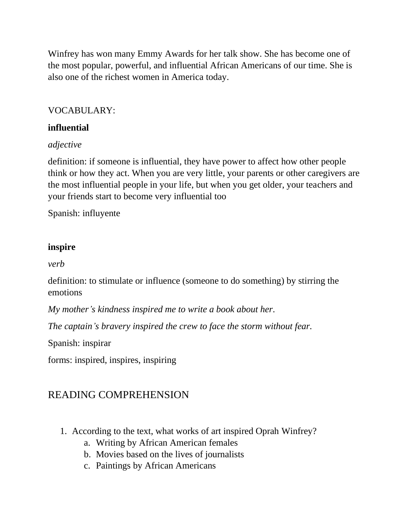Winfrey has won many Emmy Awards for her talk show. She has become one of the most popular, powerful, and influential African Americans of our time. She is also one of the richest women in America today.

#### VOCABULARY:

### **influential**

### *adjective*

definition: if someone is influential, they have power to affect how other people think or how they act. When you are very little, your parents or other caregivers are the most influential people in your life, but when you get older, your teachers and your friends start to become very influential too

Spanish: influyente

### **inspire**

*verb*

definition: to stimulate or influence (someone to do something) by stirring the emotions

*My mother's kindness inspired me to write a book about her.*

*The captain's bravery inspired the crew to face the storm without fear.*

Spanish: inspirar

forms: inspired, inspires, inspiring

## READING COMPREHENSION

- 1. According to the text, what works of art inspired Oprah Winfrey?
	- a. Writing by African American females
	- b. Movies based on the lives of journalists
	- c. Paintings by African Americans